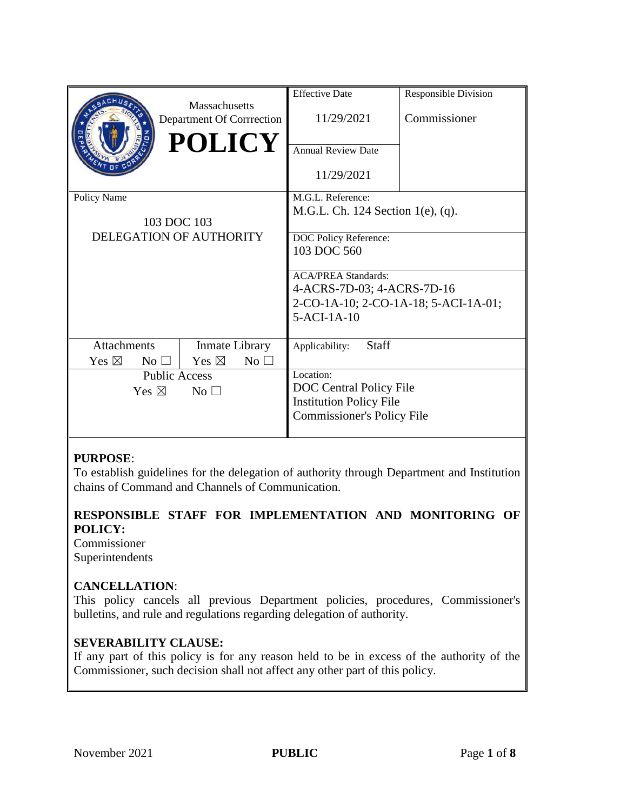|                                         | Massachusetts                      | <b>Effective Date</b>                | <b>Responsible Division</b> |
|-----------------------------------------|------------------------------------|--------------------------------------|-----------------------------|
|                                         | Department Of Corrrection          | 11/29/2021                           | Commissioner                |
| <b>POLICY</b>                           |                                    | <b>Annual Review Date</b>            |                             |
|                                         |                                    | 11/29/2021                           |                             |
| Policy Name                             |                                    | M.G.L. Reference:                    |                             |
| 103 DOC 103<br>DELEGATION OF AUTHORITY  |                                    | M.G.L. Ch. 124 Section $1(e)$ , (q). |                             |
|                                         |                                    |                                      |                             |
|                                         |                                    | DOC Policy Reference:                |                             |
|                                         |                                    | 103 DOC 560                          |                             |
|                                         |                                    |                                      |                             |
|                                         |                                    | <b>ACA/PREA Standards:</b>           |                             |
|                                         |                                    | 4-ACRS-7D-03; 4-ACRS-7D-16           |                             |
|                                         |                                    | 2-CO-1A-10; 2-CO-1A-18; 5-ACI-1A-01; |                             |
|                                         |                                    | 5-ACI-1A-10                          |                             |
|                                         |                                    |                                      |                             |
| Attachments                             | Inmate Library                     | <b>Staff</b><br>Applicability:       |                             |
| Yes $\boxtimes$<br>$\rm No \,\,\square$ | Yes $\boxtimes$<br>No <sub>1</sub> |                                      |                             |
| <b>Public Access</b>                    |                                    | Location:                            |                             |
| Yes $\boxtimes$<br>No <sub>1</sub>      |                                    | DOC Central Policy File              |                             |
|                                         |                                    | <b>Institution Policy File</b>       |                             |
|                                         |                                    | <b>Commissioner's Policy File</b>    |                             |
|                                         |                                    |                                      |                             |

## **PURPOSE**:

To establish guidelines for the delegation of authority through Department and Institution chains of Command and Channels of Communication.

## **RESPONSIBLE STAFF FOR IMPLEMENTATION AND MONITORING OF POLICY:**

**Commissioner** Superintendents

## **CANCELLATION**:

This policy cancels all previous Department policies, procedures, Commissioner's bulletins, and rule and regulations regarding delegation of authority.

## **SEVERABILITY CLAUSE:**

If any part of this policy is for any reason held to be in excess of the authority of the Commissioner, such decision shall not affect any other part of this policy.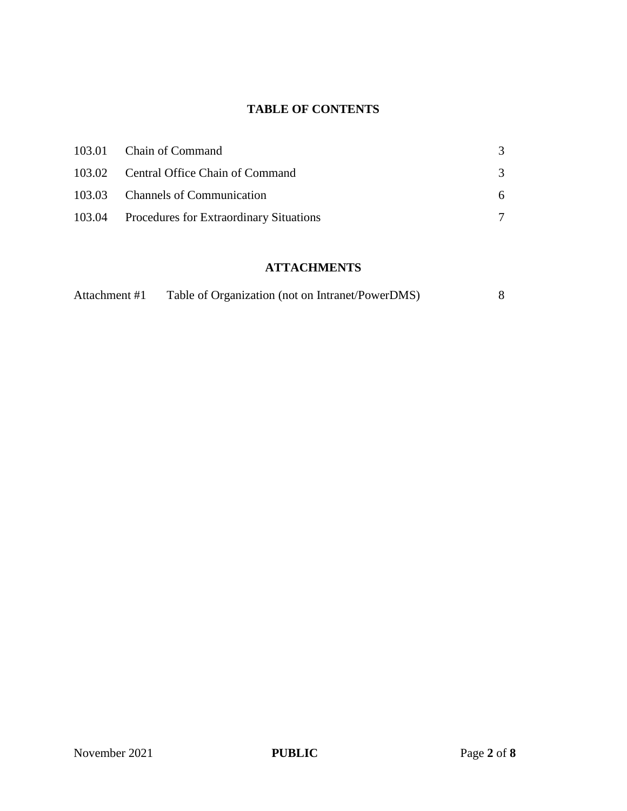## **TABLE OF CONTENTS**

| 103.01 Chain of Command                        |   |
|------------------------------------------------|---|
| 103.02 Central Office Chain of Command         |   |
| 103.03 Channels of Communication               | 6 |
| 103.04 Procedures for Extraordinary Situations |   |

# **ATTACHMENTS**

| Attachment #1 | Table of Organization (not on Intranet/PowerDMS) |  |
|---------------|--------------------------------------------------|--|
|               |                                                  |  |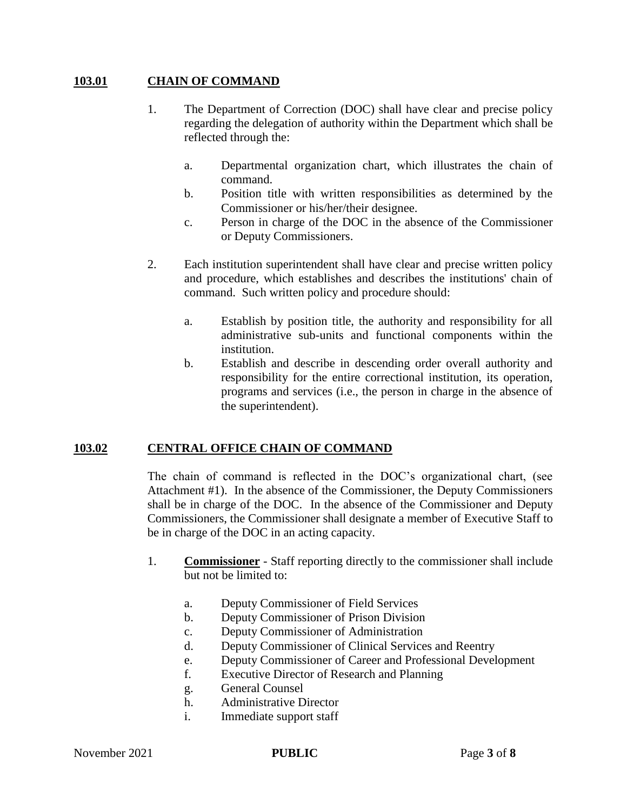## **103.01 CHAIN OF COMMAND**

- 1. The Department of Correction (DOC) shall have clear and precise policy regarding the delegation of authority within the Department which shall be reflected through the:
	- a. Departmental organization chart, which illustrates the chain of command.
	- b. Position title with written responsibilities as determined by the Commissioner or his/her/their designee.
	- c. Person in charge of the DOC in the absence of the Commissioner or Deputy Commissioners.
- 2. Each institution superintendent shall have clear and precise written policy and procedure, which establishes and describes the institutions' chain of command. Such written policy and procedure should:
	- a. Establish by position title, the authority and responsibility for all administrative sub-units and functional components within the institution.
	- b. Establish and describe in descending order overall authority and responsibility for the entire correctional institution, its operation, programs and services (i.e., the person in charge in the absence of the superintendent).

## **103.02 CENTRAL OFFICE CHAIN OF COMMAND**

The chain of command is reflected in the DOC's organizational chart, (see Attachment #1). In the absence of the Commissioner, the Deputy Commissioners shall be in charge of the DOC. In the absence of the Commissioner and Deputy Commissioners, the Commissioner shall designate a member of Executive Staff to be in charge of the DOC in an acting capacity.

- 1. **Commissioner** Staff reporting directly to the commissioner shall include but not be limited to:
	- a. Deputy Commissioner of Field Services
	- b. Deputy Commissioner of Prison Division
	- c. Deputy Commissioner of Administration
	- d. Deputy Commissioner of Clinical Services and Reentry
	- e. Deputy Commissioner of Career and Professional Development
	- f. Executive Director of Research and Planning
	- g. General Counsel
	- h. Administrative Director
	- i. Immediate support staff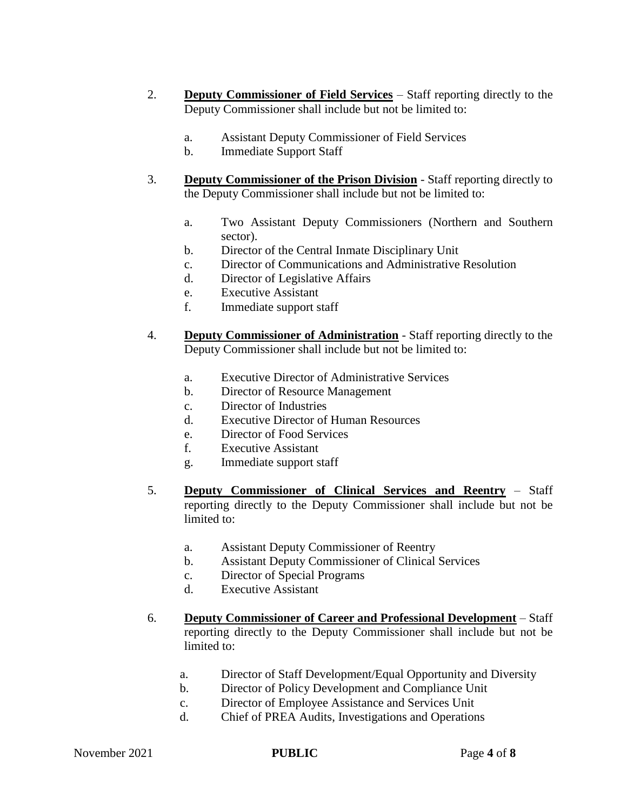- 2. **Deputy Commissioner of Field Services** Staff reporting directly to the Deputy Commissioner shall include but not be limited to:
	- a. Assistant Deputy Commissioner of Field Services
	- b. Immediate Support Staff
- 3. **Deputy Commissioner of the Prison Division** Staff reporting directly to the Deputy Commissioner shall include but not be limited to:
	- a. Two Assistant Deputy Commissioners (Northern and Southern sector).
	- b. Director of the Central Inmate Disciplinary Unit
	- c. Director of Communications and Administrative Resolution
	- d. Director of Legislative Affairs
	- e. Executive Assistant
	- f. Immediate support staff
- 4. **Deputy Commissioner of Administration** Staff reporting directly to the Deputy Commissioner shall include but not be limited to:
	- a. Executive Director of Administrative Services
	- b. Director of Resource Management
	- c. Director of Industries
	- d. Executive Director of Human Resources
	- e. Director of Food Services
	- f. Executive Assistant
	- g. Immediate support staff
- 5. **Deputy Commissioner of Clinical Services and Reentry** Staff reporting directly to the Deputy Commissioner shall include but not be limited to:
	- a. Assistant Deputy Commissioner of Reentry
	- b. Assistant Deputy Commissioner of Clinical Services
	- c. Director of Special Programs
	- d. Executive Assistant
- 6. **Deputy Commissioner of Career and Professional Development** Staff reporting directly to the Deputy Commissioner shall include but not be limited to:
	- a. Director of Staff Development/Equal Opportunity and Diversity
	- b. Director of Policy Development and Compliance Unit
	- c. Director of Employee Assistance and Services Unit
	- d. Chief of PREA Audits, Investigations and Operations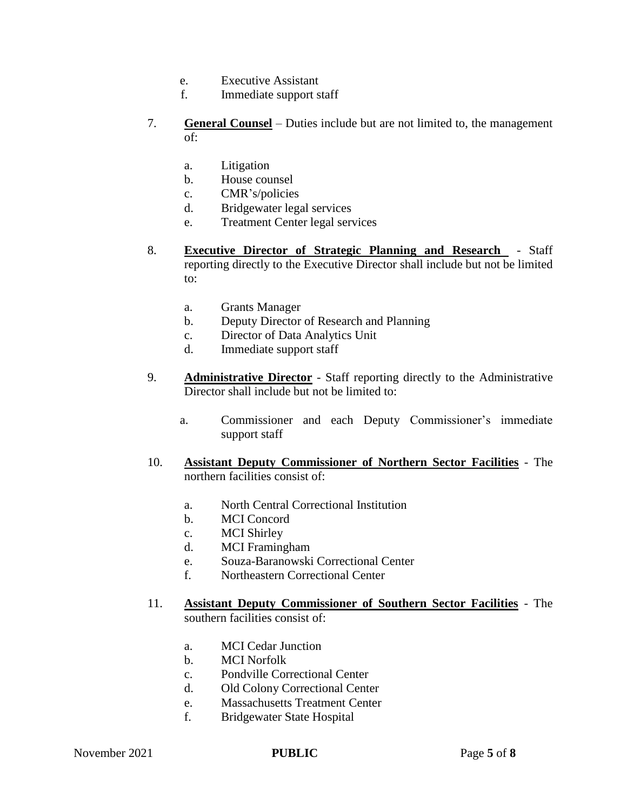- e. Executive Assistant
- f. Immediate support staff
- 7. **General Counsel** Duties include but are not limited to, the management of:
	- a. Litigation
	- b. House counsel
	- c. CMR's/policies
	- d. Bridgewater legal services
	- e. Treatment Center legal services
- 8. **Executive Director of Strategic Planning and Research**  Staff reporting directly to the Executive Director shall include but not be limited to:
	- a. Grants Manager
	- b. Deputy Director of Research and Planning
	- c. Director of Data Analytics Unit
	- d. Immediate support staff
- 9. **Administrative Director** Staff reporting directly to the Administrative Director shall include but not be limited to:
	- a. Commissioner and each Deputy Commissioner's immediate support staff
- 10. **Assistant Deputy Commissioner of Northern Sector Facilities** The northern facilities consist of:
	- a. North Central Correctional Institution
	- b. MCI Concord
	- c. MCI Shirley
	- d. MCI Framingham
	- e. Souza-Baranowski Correctional Center
	- f. Northeastern Correctional Center
- 11. **Assistant Deputy Commissioner of Southern Sector Facilities** The southern facilities consist of:
	- a. MCI Cedar Junction
	- b. MCI Norfolk
	- c. Pondville Correctional Center
	- d. Old Colony Correctional Center
	- e. Massachusetts Treatment Center
	- f. Bridgewater State Hospital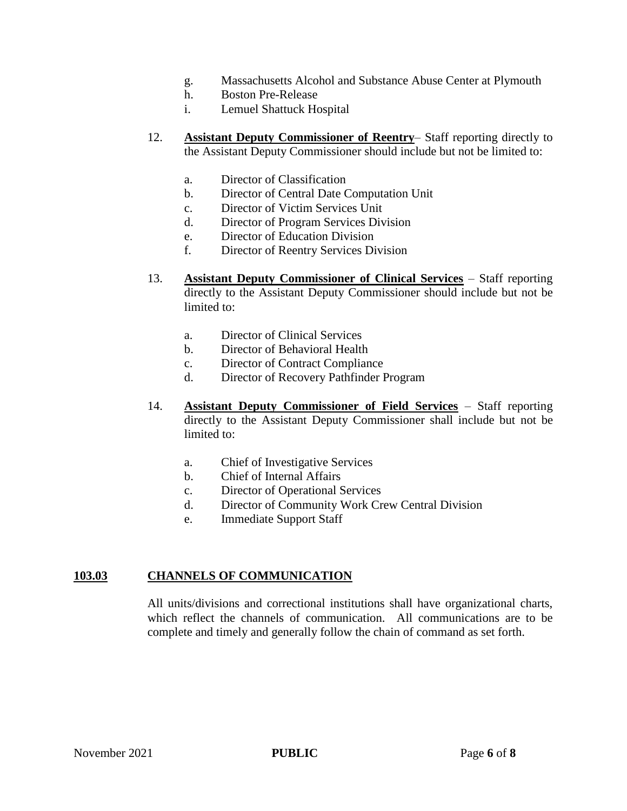- g. Massachusetts Alcohol and Substance Abuse Center at Plymouth
- h. Boston Pre-Release
- i. Lemuel Shattuck Hospital
- 12. **Assistant Deputy Commissioner of Reentry** Staff reporting directly to the Assistant Deputy Commissioner should include but not be limited to:
	- a. Director of Classification
	- b. Director of Central Date Computation Unit
	- c. Director of Victim Services Unit
	- d. Director of Program Services Division
	- e. Director of Education Division
	- f. Director of Reentry Services Division
- 13. **Assistant Deputy Commissioner of Clinical Services** Staff reporting directly to the Assistant Deputy Commissioner should include but not be limited to:
	- a. Director of Clinical Services
	- b. Director of Behavioral Health
	- c. Director of Contract Compliance
	- d. Director of Recovery Pathfinder Program
- 14. **Assistant Deputy Commissioner of Field Services** Staff reporting directly to the Assistant Deputy Commissioner shall include but not be limited to:
	- a. Chief of Investigative Services
	- b. Chief of Internal Affairs
	- c. Director of Operational Services
	- d. Director of Community Work Crew Central Division
	- e. Immediate Support Staff

#### **103.03 CHANNELS OF COMMUNICATION**

All units/divisions and correctional institutions shall have organizational charts, which reflect the channels of communication. All communications are to be complete and timely and generally follow the chain of command as set forth.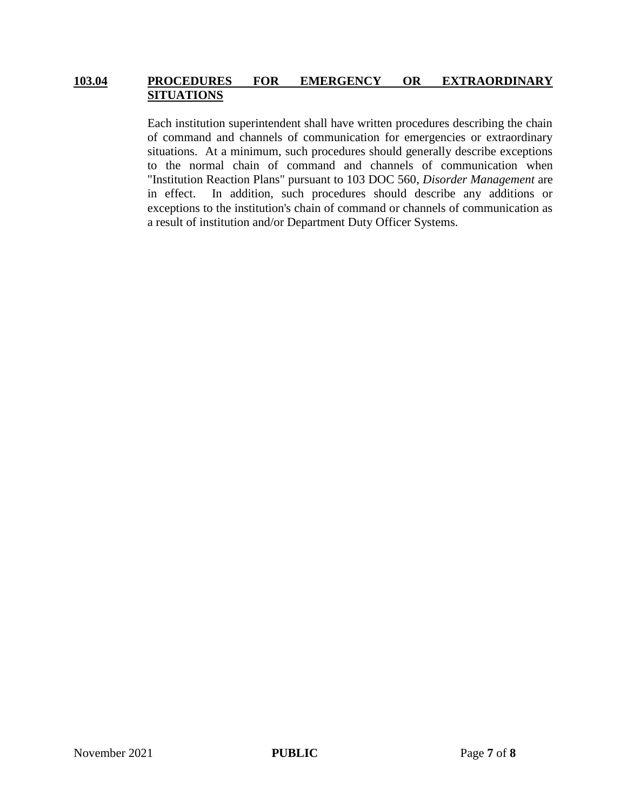#### **103.04 PROCEDURES FOR EMERGENCY OR EXTRAORDINARY SITUATIONS**

Each institution superintendent shall have written procedures describing the chain of command and channels of communication for emergencies or extraordinary situations. At a minimum, such procedures should generally describe exceptions to the normal chain of command and channels of communication when "Institution Reaction Plans" pursuant to 103 DOC 560, *Disorder Management* are in effect. In addition, such procedures should describe any additions or exceptions to the institution's chain of command or channels of communication as a result of institution and/or Department Duty Officer Systems.